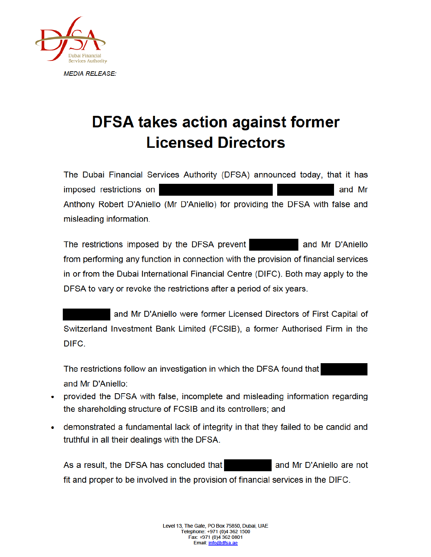

## **DFSA takes action against former Licensed Directors**

The Dubai Financial Services Authority (DFSA) announced today, that it has imposed restrictions on and Mr Anthony Robert D'Aniello (Mr D'Aniello) for providing the DFSA with false and misleading information.

The restrictions imposed by the DFSA prevent and Mr D'Aniello from performing any function in connection with the provision of financial services in or from the Dubai International Financial Centre (DIFC). Both may apply to the DFSA to vary or revoke the restrictions after a period of six years.

and Mr D'Aniello were former Licensed Directors of First Capital of Switzerland Investment Bank Limited (FCSIB), a former Authorised Firm in the DIFC.

The restrictions follow an investigation in which the DFSA found that and Mr D'Aniello:

- provided the DFSA with false, incomplete and misleading information regarding the shareholding structure of FCSIB and its controllers; and
- demonstrated a fundamental lack of integrity in that they failed to be candid and truthful in all their dealings with the DFSA.

As a result, the DFSA has concluded that and Mr D'Aniello are not fit and proper to be involved in the provision of financial services in the DIFC.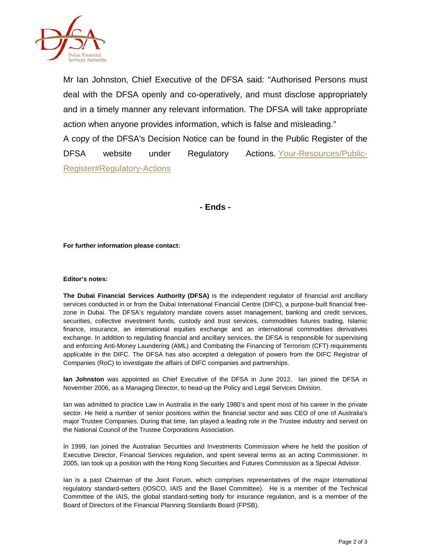

Mr Ian Johnston, Chief Executive of the DFSA said: "Authorised Persons must deal with the DFSA openly and co-operatively, and must disclose appropriately and in a timely manner any relevant information. The DFSA will take appropriate action when anyone provides information, which is false and misleading." A copy of the DFSA's Decision Notice can be found in the Public Register of the DFSA website under Regulatory Actions. Your-Resources/Public-Register#Regulatory-Actions

**- Ends -**

**For further information please contact:**

## **Editor's notes:**

**The Dubai Financial Services Authority (DFSA)** is the independent regulator of financial and ancillary services conducted in or from the Dubai International Financial Centre (DIFC), a purpose-built financial freezone in Dubai. The DFSA's regulatory mandate covers asset management, banking and credit services, securities, collective investment funds, custody and trust services, commodities futures trading, Islamic finance, insurance, an international equities exchange and an international commodities derivatives exchange. In addition to regulating financial and ancillary services, the DFSA is responsible for supervising and enforcing Anti-Money Laundering (AML) and Combating the Financing of Terrorism (CFT) requirements applicable in the DIFC. The DFSA has also accepted a delegation of powers from the DIFC Registrar of Companies (RoC) to investigate the affairs of DIFC companies and partnerships.

**Ian Johnston** was appointed as Chief Executive of the DFSA in June 2012. Ian joined the DFSA in November 2006, as a Managing Director, to head-up the Policy and Legal Services Division.

Ian was admitted to practice Law in Australia in the early 1980's and spent most of his career in the private sector. He held a number of senior positions within the financial sector and was CEO of one of Australia's major Trustee Companies. During that time, Ian played a leading role in the Trustee industry and served on the National Council of the Trustee Corporations Association.

In 1999, Ian joined the Australian Securities and Investments Commission where he held the position of Executive Director, Financial Services regulation, and spent several terms as an acting Commissioner. In 2005, Ian took up a position with the Hong Kong Securities and Futures Commission as a Special Advisor.

Ian is a past Chairman of the Joint Forum, which comprises representatives of the major international regulatory standard-setters (IOSCO, IAIS and the Basel Committee). He is a member of the Technical Committee of the IAIS, the global standard-setting body for insurance regulation, and is a member of the Board of Directors of the Financial Planning Standards Board (FPSB).